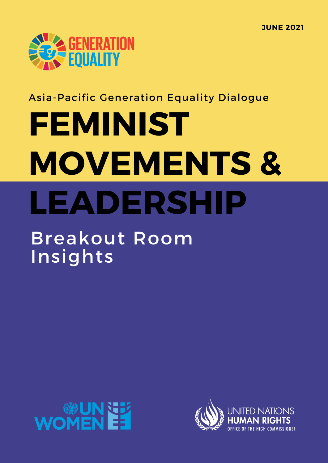

## Asia-Pacific Generation Equality Dialogue

# **FEMINIST MOVEMENTS & LEADERSHIP**

## Breakout Room Insights



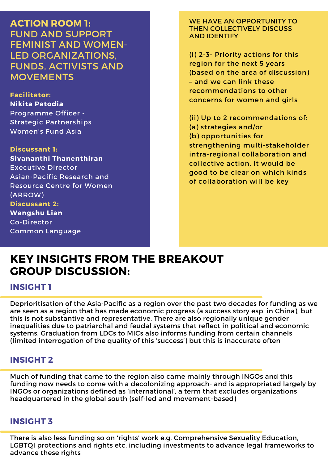**ACTION ROOM 1:** FUND AND SUPPORT FEMINIST AND WOMEN-LED ORGANIZATIONS, FUNDS, ACTIVISTS AND MOVEMENTS

**Facilitator: Nikita Patodia** Programme Officer - Strategic Partnerships Women's Fund Asia

**Discussant 1: Sivananthi Thanenthiran** Executive Director Asian-Pacific Research and Resource Centre for Women (ARROW) **Discussant 2: Wangshu Lian** Co-Director Common Language

WE HAVE AN OPPORTUNITY TO THEN COLLECTIVELY DISCUSS AND IDENTIFY:

(i) 2-3- Priority actions for this region for the next 5 years (based on the area of discussion) – and we can link these recommendations to other concerns for women and girls

(ii) Up to 2 recommendations of: (a) strategies and/or (b) opportunities for strengthening multi-stakeholder intra-regional collaboration and collective action. It would be good to be clear on which kinds of collaboration will be key

## **KEY INSIGHTS FROM THE BREAKOUT GROUP DISCUSSION:**

**INSIGHT 1**

Deprioritisation of the Asia-Pacific as a region over the past two decades for funding as we are seen as a region that has made economic progress (a success story esp. in China), but this is not substantive and representative. There are also regionally unique gender inequalities due to patriarchal and feudal systems that reflect in political and economic systems. Graduation from LDCs to MICs also informs funding from certain channels (limited interrogation of the quality of this 'success') but this is inaccurate often

### **INSIGHT 2**

Much of funding that came to the region also came mainly through INGOs and this funding now needs to come with a decolonizing approach- and is appropriated largely by INGOs or organizations defined as 'international', a term that excludes organizations headquartered in the global south (self-led and movement-based)

#### **INSIGHT 3**

There is also less funding so on 'rights' work e.g. Comprehensive Sexuality Education, LGBTQI protections and rights etc. including investments to advance legal frameworks to advance these rights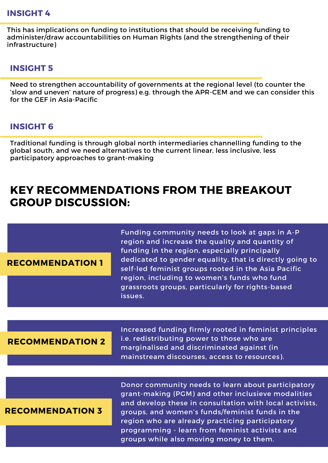#### **INSIGHT 4**

This has implications on funding to institutions that should be receiving funding to administer/draw accountabilities on Human Rights (and the strengthening of their infrastructure)

#### **INSIGHT 5**

Need to strengthen accountability of governments at the regional level (to counter the 'slow and uneven' nature of progress) e.g. through the APR-CEM and we can consider this for the GEF in Asia-Pacific

#### **INSIGHT 6**

Traditional funding is through global north intermediaries channelling funding to the global south, and we need alternatives to the current linear, less inclusive, less participatory approaches to grant-making

## **KEY RECOMMENDATIONS FROM THE BREAKOUT GROUP DISCUSSION:**

#### **RECOMMENDATION 1**

Funding community needs to look at gaps in A-P region and increase the quality and quantity of funding in the region, especially principally dedicated to gender equality, that is directly going to self-led feminist groups rooted in the Asia Pacific region, including to women's funds who fund grassroots groups, particularly for rights-based issues.

#### **RECOMMENDATION 2**

Increased funding firmly rooted in feminist principles i.e. redistributing power to those who are marginalised and discriminated against (in mainstream discourses, access to resources).

#### **RECOMMENDATION 3**

Donor community needs to learn about participatory grant-making (PGM) and other inclusieve modalities and develop these in consultation with local activists. groups, and women's funds/feminist funds in the region who are already practicing participatory programming - learn from feminist activists and groups while also moving money to them.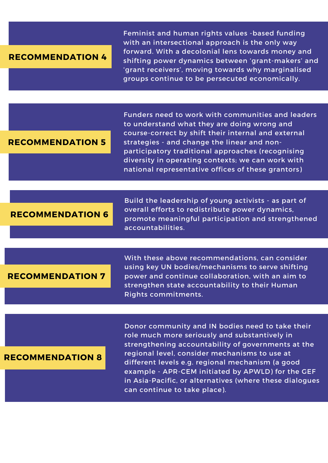#### **RECOMMENDATION 4**

Feminist and human rights values -based funding with an intersectional approach is the only way forward. With a decolonial lens towards money and shifting power dynamics between 'grant-makers' and 'grant receivers', moving towards why marginalised groups continue to be persecuted economically.

#### **RECOMMENDATION 5**

Funders need to work with communities and leaders to understand what they are doing wrong and course-correct by shift their internal and external strategies - and change the linear and nonparticipatory traditional approaches (recognising diversity in operating contexts; we can work with national representative offices of these grantors)

#### **RECOMMENDATION 6**

Build the leadership of young activists - as part of overall efforts to redistribute power dynamics, promote meaningful participation and strengthened accountabilities.

#### **RECOMMENDATION 7**

With these above recommendations, can consider using key UN bodies/mechanisms to serve shifting power and continue collaboration, with an aim to strengthen state accountability to their Human Rights commitments.

#### **RECOMMENDATION 8**

Donor community and IN bodies need to take their role much more seriously and substantively in strengthening accountability of governments at the regional level, consider mechanisms to use at different levels e.g. regional mechanism (a good example - APR-CEM initiated by APWLD) for the GEF in Asia-Pacific, or alternatives (where these dialogues can continue to take place).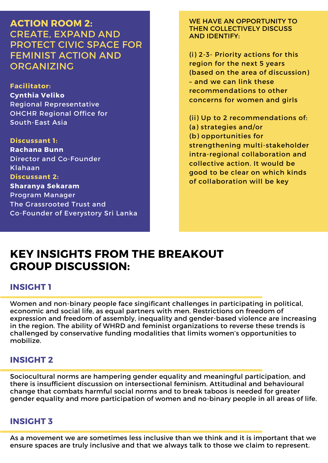**ACTION ROOM 2:** CREATE, EXPAND AND PROTECT CIVIC SPACE FOR FEMINIST ACTION AND ORGANIZING

**Facilitator: Cynthia Veliko** Regional Representative OHCHR Regional Office for South-East Asia

**Discussant 1: Rachana Bunn** Director and Co-Founder Klahaan **Discussant 2: Sharanya Sekaram** Program Manager The Grassrooted Trust and Co-Founder of Everystory Sri Lanka WE HAVE AN OPPORTUNITY TO THEN COLLECTIVELY DISCUSS AND IDENTIFY:

(i) 2-3- Priority actions for this region for the next 5 years (based on the area of discussion) – and we can link these recommendations to other concerns for women and girls

(ii) Up to 2 recommendations of: (a) strategies and/or (b) opportunities for strengthening multi-stakeholder intra-regional collaboration and collective action. It would be good to be clear on which kinds of collaboration will be key

## **KEY INSIGHTS FROM THE BREAKOUT GROUP DISCUSSION:**

#### **INSIGHT 1**

Women and non-binary people face singificant challenges in participating in political, economic and social life, as equal partners with men. Restrictions on freedom of expression and freedom of assembly, inequality and gender-based violence are increasing in the region. The ability of WHRD and feminist organizations to reverse these trends is challenged by conservative funding modalities that limits women's opportunities to mobilize.

#### **INSIGHT 2**

Sociocultural norms are hampering gender equality and meaningful participation, and there is insufficient discussion on intersectional feminism. Attitudinal and behavioural change that combats harmful social norms and to break taboos is needed for greater gender equality and more participation of women and no-binary people in all areas of life.

#### **INSIGHT 3**

As a movement we are sometimes less inclusive than we think and it is important that we ensure spaces are truly inclusive and that we always talk to those we claim to represent.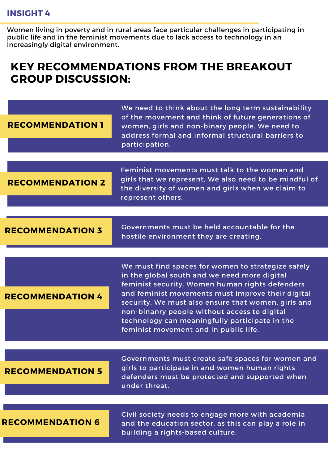#### **INSIGHT 4**

Women living in poverty and in rural areas face particular challenges in participating in public life and in the feminist movements due to lack access to technology in an increasingly digital environment.

## **KEY RECOMMENDATIONS FROM THE BREAKOUT GROUP DISCUSSION:**

| <b>RECOMMENDATION 1</b> | We need to think about the long term sustainability<br>of the movement and think of future generations of<br>women, girls and non-binary people. We need to<br>address formal and informal structural barriers to<br>participation.                                                                                                                                                                          |
|-------------------------|--------------------------------------------------------------------------------------------------------------------------------------------------------------------------------------------------------------------------------------------------------------------------------------------------------------------------------------------------------------------------------------------------------------|
|                         |                                                                                                                                                                                                                                                                                                                                                                                                              |
| <b>RECOMMENDATION 2</b> | Feminist movements must talk to the women and<br>girls that we represent. We also need to be mindful of<br>the diversity of women and girls when we claim to<br>represent others.                                                                                                                                                                                                                            |
|                         |                                                                                                                                                                                                                                                                                                                                                                                                              |
| <b>RECOMMENDATION 3</b> | Governments must be held accountable for the<br>hostile environment they are creating.                                                                                                                                                                                                                                                                                                                       |
|                         |                                                                                                                                                                                                                                                                                                                                                                                                              |
| <b>RECOMMENDATION 4</b> | We must find spaces for women to strategize safely<br>in the global south and we need more digital<br>feminist security. Women human rights defenders<br>and feminist movements must improve their digital<br>security. We must also ensure that women, girls and<br>non-binanry people without access to digital<br>technology can meaningfully participate in the<br>feminist movement and in public life. |
|                         |                                                                                                                                                                                                                                                                                                                                                                                                              |
| <b>RECOMMENDATION 5</b> | Governments must create safe spaces for women and<br>girls to participate in and women human rights<br>defenders must be protected and supported when<br>under threat.                                                                                                                                                                                                                                       |
|                         |                                                                                                                                                                                                                                                                                                                                                                                                              |
| <b>RECOMMENDATION 6</b> | Civil society needs to engage more with academia<br>and the education sector, as this can play a role in<br>building a rights-based culture.                                                                                                                                                                                                                                                                 |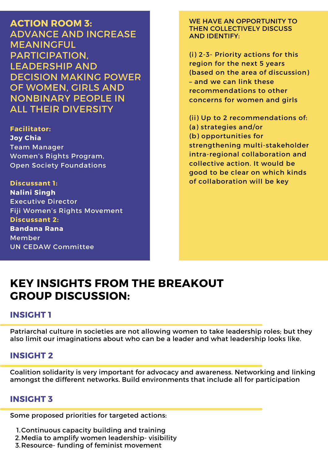**ACTION ROOM 3:** ADVANCE AND INCREASE MEANINGFUL PARTICIPATION, LEADERSHIP AND DECISION MAKING POWER OF WOMEN, GIRLS AND NONBINARY PEOPLE IN ALL THEIR DIVERSITY

**Facilitator: Joy Chia** Team Manager Women's Rights Program, Open Society Foundations

**Discussant 1: Nalini Singh** Executive Director Fiji Women's Rights Movement **Discussant 2: Bandana Rana** Member UN CEDAW Committee

WE HAVE AN OPPORTUNITY TO THEN COLLECTIVELY DISCUSS AND IDENTIFY:

(i) 2-3- Priority actions for this region for the next 5 years (based on the area of discussion) – and we can link these recommendations to other concerns for women and girls

(ii) Up to 2 recommendations of: (a) strategies and/or (b) opportunities for strengthening multi-stakeholder intra-regional collaboration and collective action. It would be good to be clear on which kinds of collaboration will be key

## **KEY INSIGHTS FROM THE BREAKOUT GROUP DISCUSSION:**

#### **INSIGHT 1**

Patriarchal culture in societies are not allowing women to take leadership roles; but they also limit our imaginations about who can be a leader and what leadership looks like.

#### **INSIGHT 2**

Coalition solidarity is very important for advocacy and awareness. Networking and linking amongst the different networks. Build environments that include all for participation

#### **INSIGHT 3**

Some proposed priorities for targeted actions:

- Continuous capacity building and training 1.
- Media to amplify women leadership- visibility 2.
- 3. Resource- funding of feminist movement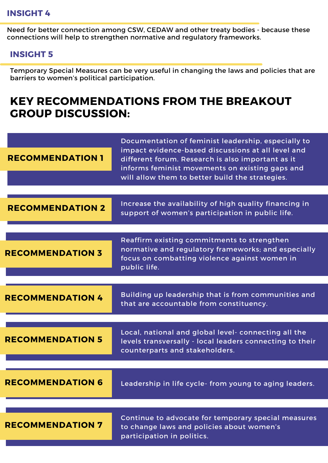#### **INSIGHT 4**

Need for better connection among CSW, CEDAW and other treaty bodies - because these connections will help to strengthen normative and regulatory frameworks.

#### **INSIGHT 5**

Temporary Special Measures can be very useful in changing the laws and policies that are barriers to women's political participation.

## **KEY RECOMMENDATIONS FROM THE BREAKOUT GROUP DISCUSSION:**

| <b>RECOMMENDATION 1</b> | Documentation of feminist leadership, especially to<br>impact evidence-based discussions at all level and<br>different forum. Research is also important as it<br>informs feminist movements on existing gaps and<br>will allow them to better build the strategies. |
|-------------------------|----------------------------------------------------------------------------------------------------------------------------------------------------------------------------------------------------------------------------------------------------------------------|
|                         |                                                                                                                                                                                                                                                                      |
| <b>RECOMMENDATION 2</b> | Increase the availability of high quality financing in<br>support of women's participation in public life.                                                                                                                                                           |
|                         |                                                                                                                                                                                                                                                                      |
| <b>RECOMMENDATION 3</b> | Reaffirm existing commitments to strengthen<br>normative and regulatory frameworks; and especially<br>focus on combatting violence against women in<br>public life.                                                                                                  |
|                         |                                                                                                                                                                                                                                                                      |
| <b>RECOMMENDATION 4</b> | Building up leadership that is from communities and<br>that are accountable from constituency.                                                                                                                                                                       |
|                         |                                                                                                                                                                                                                                                                      |
| <b>RECOMMENDATION 5</b> | Local, national and global level- connecting all the<br>levels transversally - local leaders connecting to their<br>counterparts and stakeholders.                                                                                                                   |
|                         |                                                                                                                                                                                                                                                                      |
| <b>RECOMMENDATION 6</b> | Leadership in life cycle- from young to aging leaders.                                                                                                                                                                                                               |
|                         |                                                                                                                                                                                                                                                                      |
| <b>RECOMMENDATION 7</b> | Continue to advocate for temporary special measures<br>to change laws and policies about women's<br>participation in politics.                                                                                                                                       |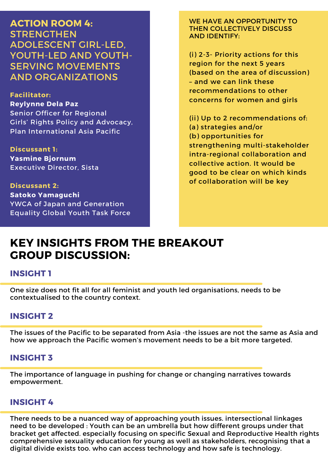**ACTION ROOM 4: STRENGTHEN** ADOLESCENT GIRL-LED, YOUTH-LED AND YOUTH-SERVING MOVEMENTS AND ORGANIZATIONS

**Facilitator: Reylynne Dela Paz** Senior Officer for Regional Girls' Rights Policy and Advocacy, Plan International Asia Pacific

**Discussant 1: Yasmine Bjornum** Executive Director, Sista

**Discussant 2: Satoko Yamaguchi** YWCA of Japan and Generation Equality Global Youth Task Force WE HAVE AN OPPORTUNITY TO THEN COLLECTIVELY DISCUSS AND IDENTIFY:

(i) 2-3- Priority actions for this region for the next 5 years (based on the area of discussion) – and we can link these recommendations to other concerns for women and girls

(ii) Up to 2 recommendations of: (a) strategies and/or (b) opportunities for strengthening multi-stakeholder intra-regional collaboration and collective action. It would be good to be clear on which kinds of collaboration will be key

## **KEY INSIGHTS FROM THE BREAKOUT GROUP DISCUSSION:**

#### **INSIGHT 1**

One size does not fit all for all feminist and youth led organisations, needs to be contextualised to the country context.

#### **INSIGHT 2**

The issues of the Pacific to be separated from Asia -the issues are not the same as Asia and how we approach the Pacific women's movement needs to be a bit more targeted.

#### **INSIGHT 3**

The importance of language in pushing for change or changing narratives towards empowerment.

#### **INSIGHT 4**

There needs to be a nuanced way of approaching youth issues. intersectional linkages need to be developed : Youth can be an umbrella but how different groups under that bracket get affected. especially focusing on specific Sexual and Reproductive Health rights comprehensive sexuality education for young as well as stakeholders, recognising that a digital divide exists too. who can access technology and how safe is technology.